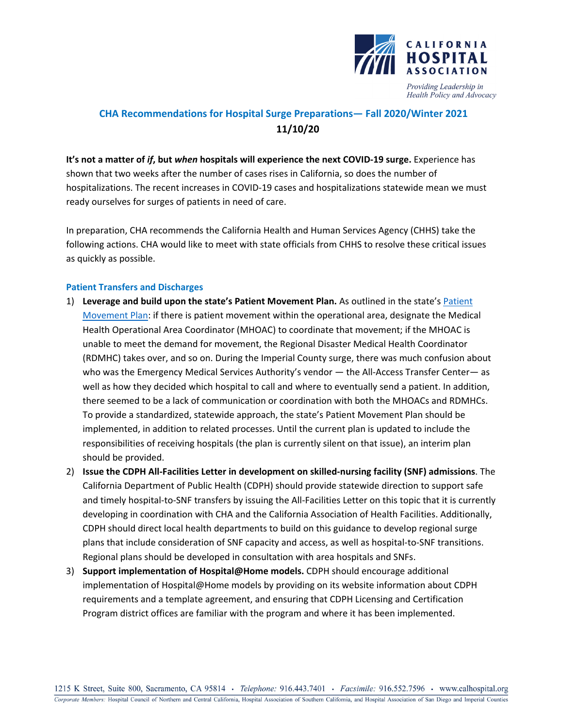

Health Policy and Advocacy

# **CHA Recommendations for Hospital Surge Preparations— Fall 2020/Winter 2021 11/10/20**

**It's not a matter of** *if***, but** *when* **hospitals will experience the next COVID-19 surge.** Experience has shown that two weeks after the number of cases rises in California, so does the number of hospitalizations. The recent increases in COVID-19 cases and hospitalizations statewide mean we must ready ourselves for surges of patients in need of care.

In preparation, CHA recommends the California Health and Human Services Agency (CHHS) take the following actions. CHA would like to meet with state officials from CHHS to resolve these critical issues as quickly as possible.

## **Patient Transfers and Discharges**

- 1) **Leverage and build upon the state's Patient Movement Plan.** As outlined in the state's [Patient](https://emsa.ca.gov/wp-content/uploads/sites/71/2019/03/Patient-Movement-Plan_Final-3-6-19.pdf)  [Movement Plan:](https://emsa.ca.gov/wp-content/uploads/sites/71/2019/03/Patient-Movement-Plan_Final-3-6-19.pdf) if there is patient movement within the operational area, designate the Medical Health Operational Area Coordinator (MHOAC) to coordinate that movement; if the MHOAC is unable to meet the demand for movement, the Regional Disaster Medical Health Coordinator (RDMHC) takes over, and so on. During the Imperial County surge, there was much confusion about who was the Emergency Medical Services Authority's vendor — the All-Access Transfer Center— as well as how they decided which hospital to call and where to eventually send a patient. In addition, there seemed to be a lack of communication or coordination with both the MHOACs and RDMHCs. To provide a standardized, statewide approach, the state's Patient Movement Plan should be implemented, in addition to related processes. Until the current plan is updated to include the responsibilities of receiving hospitals (the plan is currently silent on that issue), an interim plan should be provided.
- 2) **Issue the CDPH All-Facilities Letter in development on skilled-nursing facility (SNF) admissions**. The California Department of Public Health (CDPH) should provide statewide direction to support safe and timely hospital-to-SNF transfers by issuing the All-Facilities Letter on this topic that it is currently developing in coordination with CHA and the California Association of Health Facilities. Additionally, CDPH should direct local health departments to build on this guidance to develop regional surge plans that include consideration of SNF capacity and access, as well as hospital-to-SNF transitions. Regional plans should be developed in consultation with area hospitals and SNFs.
- 3) **Support implementation of Hospital@Home models.** CDPH should encourage additional implementation of Hospital@Home models by providing on its website information about CDPH requirements and a template agreement, and ensuring that CDPH Licensing and Certification Program district offices are familiar with the program and where it has been implemented.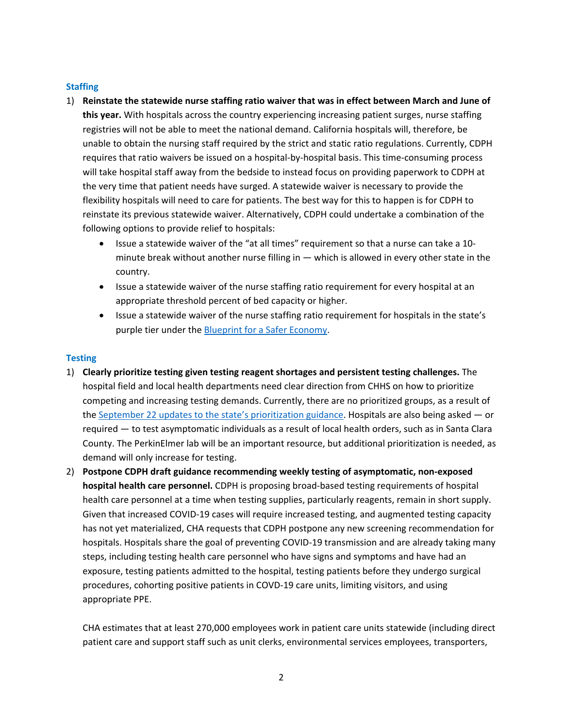### **Staffing**

- 1) **Reinstate the statewide nurse staffing ratio waiver that was in effect between March and June of this year.** With hospitals across the country experiencing increasing patient surges, nurse staffing registries will not be able to meet the national demand. California hospitals will, therefore, be unable to obtain the nursing staff required by the strict and static ratio regulations. Currently, CDPH requires that ratio waivers be issued on a hospital-by-hospital basis. This time-consuming process will take hospital staff away from the bedside to instead focus on providing paperwork to CDPH at the very time that patient needs have surged. A statewide waiver is necessary to provide the flexibility hospitals will need to care for patients. The best way for this to happen is for CDPH to reinstate its previous statewide waiver. Alternatively, CDPH could undertake a combination of the following options to provide relief to hospitals:
	- Issue a statewide waiver of the "at all times" requirement so that a nurse can take a 10 minute break without another nurse filling in — which is allowed in every other state in the country.
	- Issue a statewide waiver of the nurse staffing ratio requirement for every hospital at an appropriate threshold percent of bed capacity or higher.
	- Issue a statewide waiver of the nurse staffing ratio requirement for hospitals in the state's purple tier under the [Blueprint for a Safer Economy.](https://covid19.ca.gov/safer-economy/)

## **Testing**

- 1) **Clearly prioritize testing given testing reagent shortages and persistent testing challenges.** The hospital field and local health departments need clear direction from CHHS on how to prioritize competing and increasing testing demands. Currently, there are no prioritized groups, as a result of the September 22 updates to the [state's prioritization guidance.](https://www.cdph.ca.gov/Programs/CID/DCDC/Pages/COVID-19/Updated-COVID-19-Testing-Guidance.aspx) Hospitals are also being asked — or required — to test asymptomatic individuals as a result of local health orders, such as in Santa Clara County. The PerkinElmer lab will be an important resource, but additional prioritization is needed, as demand will only increase for testing.
- 2) **Postpone CDPH draft guidance recommending weekly testing of asymptomatic, non-exposed hospital health care personnel.** CDPH is proposing broad-based testing requirements of hospital health care personnel at a time when testing supplies, particularly reagents, remain in short supply. Given that increased COVID-19 cases will require increased testing, and augmented testing capacity has not yet materialized, CHA requests that CDPH postpone any new screening recommendation for hospitals. Hospitals share the goal of preventing COVID-19 transmission and are already taking many steps, including testing health care personnel who have signs and symptoms and have had an exposure, testing patients admitted to the hospital, testing patients before they undergo surgical procedures, cohorting positive patients in COVD-19 care units, limiting visitors, and using appropriate PPE.

CHA estimates that at least 270,000 employees work in patient care units statewide (including direct patient care and support staff such as unit clerks, environmental services employees, transporters,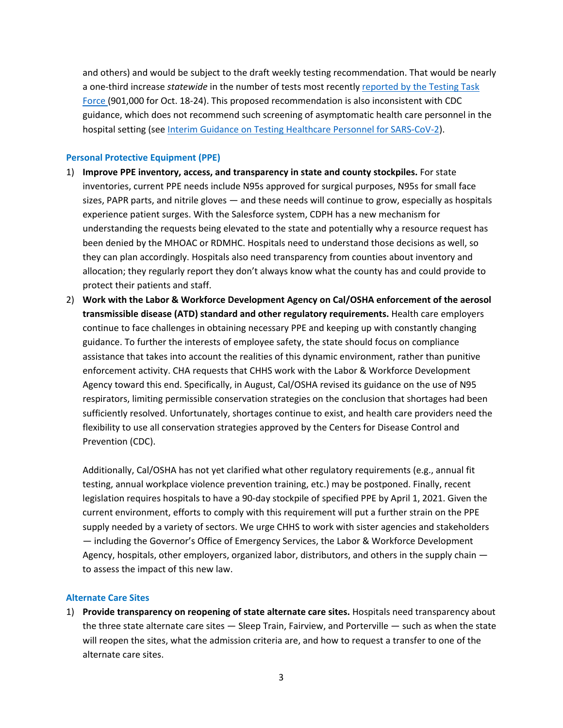and others) and would be subject to the draft weekly testing recommendation. That would be nearly a one-third increase *statewide* in the number of tests most recently [reported by the Testing Task](https://testing.covid19.ca.gov/wp-content/uploads/sites/332/2020/10/20201024_TAT-Dashboard.pdf)  [Force \(](https://testing.covid19.ca.gov/wp-content/uploads/sites/332/2020/10/20201024_TAT-Dashboard.pdf)901,000 for Oct. 18-24). This proposed recommendation is also inconsistent with CDC guidance, which does not recommend such screening of asymptomatic health care personnel in the hospital setting (see [Interim Guidance on Testing Healthcare Personnel for SARS-CoV-2\)](https://www.cdc.gov/coronavirus/2019-ncov/hcp/testing-healthcare-personnel.html).

#### **Personal Protective Equipment (PPE)**

- 1) **Improve PPE inventory, access, and transparency in state and county stockpiles.** For state inventories, current PPE needs include N95s approved for surgical purposes, N95s for small face sizes, PAPR parts, and nitrile gloves — and these needs will continue to grow, especially as hospitals experience patient surges. With the Salesforce system, CDPH has a new mechanism for understanding the requests being elevated to the state and potentially why a resource request has been denied by the MHOAC or RDMHC. Hospitals need to understand those decisions as well, so they can plan accordingly. Hospitals also need transparency from counties about inventory and allocation; they regularly report they don't always know what the county has and could provide to protect their patients and staff.
- 2) **Work with the Labor & Workforce Development Agency on Cal/OSHA enforcement of the aerosol transmissible disease (ATD) standard and other regulatory requirements.** Health care employers continue to face challenges in obtaining necessary PPE and keeping up with constantly changing guidance. To further the interests of employee safety, the state should focus on compliance assistance that takes into account the realities of this dynamic environment, rather than punitive enforcement activity. CHA requests that CHHS work with the Labor & Workforce Development Agency toward this end. Specifically, in August, Cal/OSHA revised its guidance on the use of N95 respirators, limiting permissible conservation strategies on the conclusion that shortages had been sufficiently resolved. Unfortunately, shortages continue to exist, and health care providers need the flexibility to use all conservation strategies approved by the Centers for Disease Control and Prevention (CDC).

Additionally, Cal/OSHA has not yet clarified what other regulatory requirements (e.g., annual fit testing, annual workplace violence prevention training, etc.) may be postponed. Finally, recent legislation requires hospitals to have a 90-day stockpile of specified PPE by April 1, 2021. Given the current environment, efforts to comply with this requirement will put a further strain on the PPE supply needed by a variety of sectors. We urge CHHS to work with sister agencies and stakeholders — including the Governor's Office of Emergency Services, the Labor & Workforce Development Agency, hospitals, other employers, organized labor, distributors, and others in the supply chain to assess the impact of this new law.

## **Alternate Care Sites**

1) **Provide transparency on reopening of state alternate care sites.** Hospitals need transparency about the three state alternate care sites — Sleep Train, Fairview, and Porterville — such as when the state will reopen the sites, what the admission criteria are, and how to request a transfer to one of the alternate care sites.